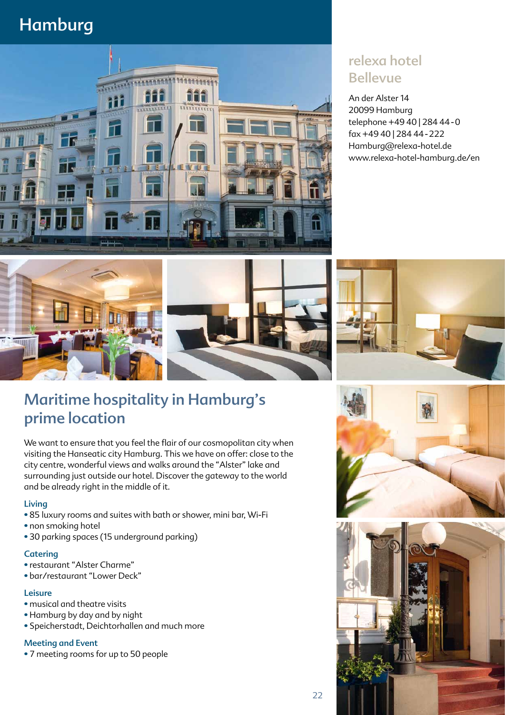# Hamburg



## relexa hotel Bellevue

An der Alster 14 20099 Hamburg telephone +49 40 | 284 44-0 fax +49 40 | 284 44-222 Hamburg@relexa-hotel.de www.relexa-hotel-hamburg.de/en



## Maritime hospitality in Hamburg's prime location

We want to ensure that you feel the flair of our cosmopolitan city when visiting the Hanseatic city Hamburg. This we have on offer: close to the city centre, wonderful views and walks around the "Alster" lake and surrounding just outside our hotel. Discover the gateway to the world and be already right in the middle of it.

### Living

- 85 luxury rooms and suites with bath or shower, mini bar, Wi-Fi
- non smoking hotel
- 30 parking spaces (15 underground parking)

#### **Catering**

- restaurant "Alster Charme"
- bar/restaurant "Lower Deck"

### Leisure

- musical and theatre visits
- Hamburg by day and by night
- Speicherstadt, Deichtorhallen and much more

### Meeting and Event

• 7 meeting rooms for up to 50 people





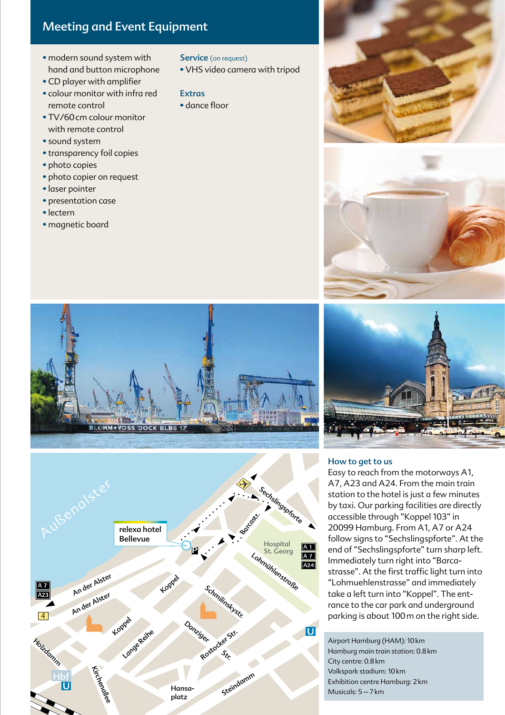### Meeting and Event Equipment

- modern sound system with hand and button microphone
- CD player with amplifier
- colour monitor with infra red remote control
- TV/60cm colour monitor with remote control
- sound system
- transparency foil copies
- photo copies
- photo copier on request
- laser pointer
- presentation case
- lectern
- magnetic board

#### Service (on request)

• VHS video camera with tripod

### Extras

• dance floor











#### How to get to us

Easy to reach from the motorways A1, A7, A23 and A24. From the main train station to the hotel is just a few minutes by taxi. Our parking facilities are directly accessible through "Koppel 103" in 20099 Hamburg. From A1, A7 or A24 follow signs to "Sechslingspforte". At the end of "Sechslingspforte" turn sharp left. Immediately turn right into "Barcastrasse". At the first traffic light turn into "Lohmuehlenstrasse" and immediately take a left turn into "Koppel". The entrance to the car park and underground parking is about 100m on the right side.

Airport Hamburg (HAM): 10km Hamburg main train station: 0.8km City centre: 0.8km Volkspark stadium: 10km Exhibition centre Hamburg: 2km Musicals: 5–7km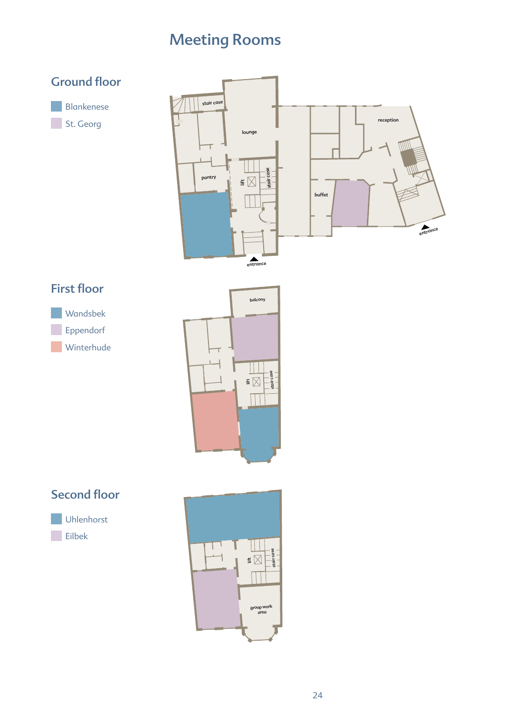# Meeting Rooms



entrance entrance







### Second floor